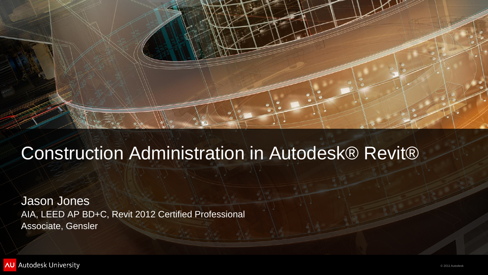© 2011 Autodesk



### Construction Administration in Autodesk® Revit®

Jason Jones AIA, LEED AP BD+C, Revit 2012 Certified Professional Associate, Gensler

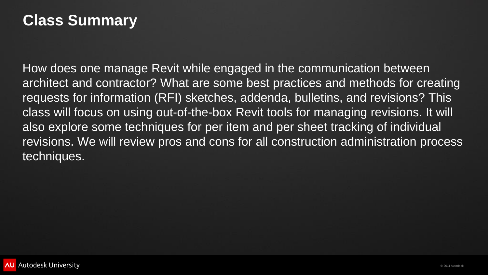

### **Class Summary**

How does one manage Revit while engaged in the communication between architect and contractor? What are some best practices and methods for creating requests for information (RFI) sketches, addenda, bulletins, and revisions? This class will focus on using out-of-the-box Revit tools for managing revisions. It will also explore some techniques for per item and per sheet tracking of individual revisions. We will review pros and cons for all construction administration process techniques.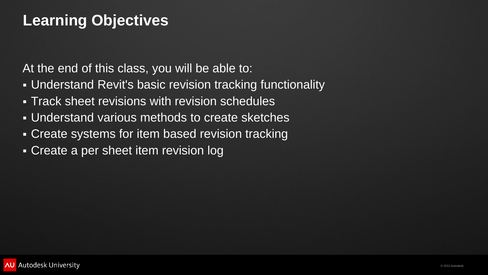

### **Learning Objectives**

At the end of this class, you will be able to:

- Understand Revit's basic revision tracking functionality
- **Track sheet revisions with revision schedules**
- Understand various methods to create sketches
- Create systems for item based revision tracking
- Create a per sheet item revision log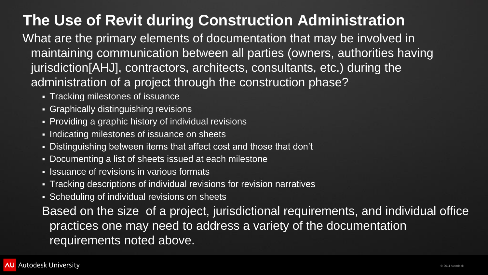

**The Use of Revit during Construction Administration** What are the primary elements of documentation that may be involved in maintaining communication between all parties (owners, authorities having jurisdiction[AHJ], contractors, architects, consultants, etc.) during the administration of a project through the construction phase?

- **Tracking milestones of issuance**
- **Graphically distinguishing revisions**
- **Providing a graphic history of individual revisions**
- **Indicating milestones of issuance on sheets**
- Distinguishing between items that affect cost and those that don't
- Documenting a list of sheets issued at each milestone
- **Issuance of revisions in various formats**
- **Tracking descriptions of individual revisions for revision narratives**

**- Scheduling of individual revisions on sheets** Based on the size of a project, jurisdictional requirements, and individual office practices one may need to address a variety of the documentation requirements noted above.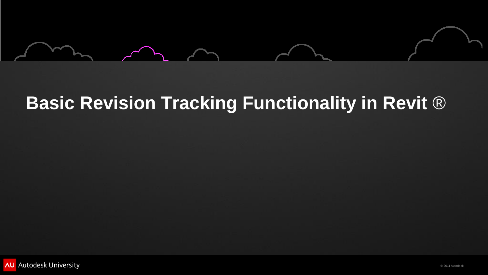

# **Basic Revision Tracking Functionality in Revit** ®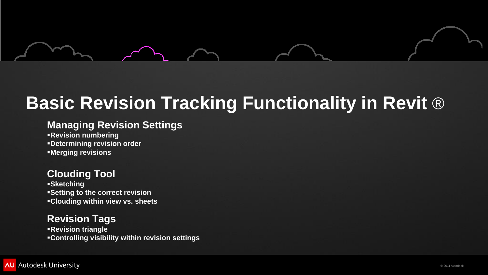

#### **Managing Revision Settings Revision numbering Determining revision order**

**Merging revisions**

### **Clouding Tool**

**Sketching Setting to the correct revision Clouding within view vs. sheets**

#### **Revision Tags**

**Revision triangle**

**Controlling visibility within revision settings**

# **Basic Revision Tracking Functionality in Revit** ®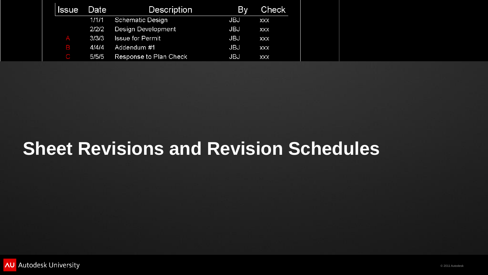| <b>Issue</b> | Date  | <b>Description</b>      | By  | <b>Check</b> |
|--------------|-------|-------------------------|-----|--------------|
|              | 1/1/1 | Schematic Design        | JBJ | XXX          |
|              | 2/2/2 | Design Development      | JBJ | XXX          |
|              | 3/3/3 | <b>Issue for Permit</b> | JBJ | XXX          |
| B            | 4/4/4 | Addendum #1             | JBJ | XXX          |
|              | 5/5/5 | Response to Plan Check  | JBJ | XXX          |

## **Sheet Revisions and Revision Schedules**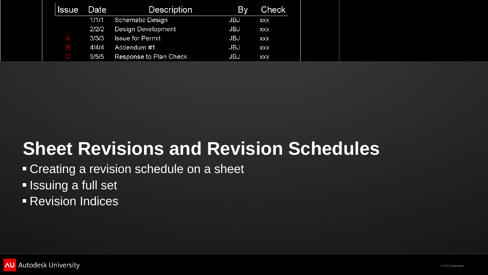| <b>Issue</b> | <b>Date</b> | <b>Description</b>      | <b>By</b>  | Check      |
|--------------|-------------|-------------------------|------------|------------|
|              | 1/1/1       | Schematic Design        | <b>JBJ</b> | <b>XXX</b> |
|              | 2/2/2       | Design Development      | <b>JBJ</b> | <b>XXX</b> |
|              | 3/3/3       | <b>Issue for Permit</b> | <b>JBJ</b> | <b>XXX</b> |
| B            | 4/4/4       | Addendum #1             | <b>JBJ</b> | XXX        |
|              | 5/5/5       | Response to Plan Check  | JBJ        | <b>XXX</b> |

### **Example 2 revision schedule on a sheet Issuing a full set Revision Indices Sheet Revisions and Revision Schedules**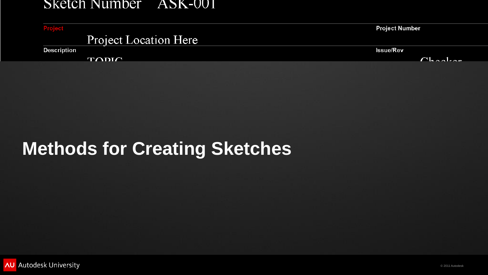#### Sketch Number ASK-001

Project

### Project Location Here

**Description** 

**TODIC** 



# **Methods for Creating Sketches**

**AU** Autodesk University

#### **Project Number**

**Issue/Rev** 

 $C_{h}$  and  $m$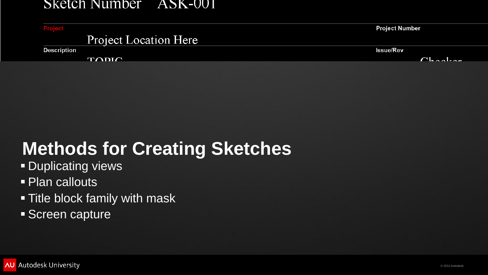#### Sketch Number ASK-001

Project

### Project Location Here

**Description** 

 $T\bigtriangleup DIC$ 



- **Duplicating views**
- **Plan callouts**
- Title block family with mask
- Screen capture

#### **Project Number**

**Issue/Rev** 

 $C_{\text{hadron}}$ 

# **Methods for Creating Sketches**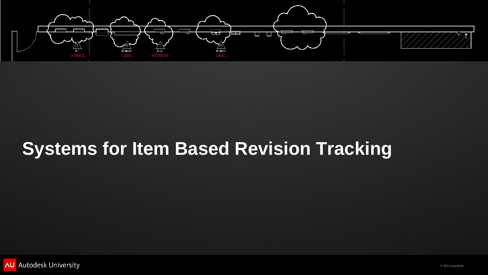



# **Systems for Item Based Revision Tracking**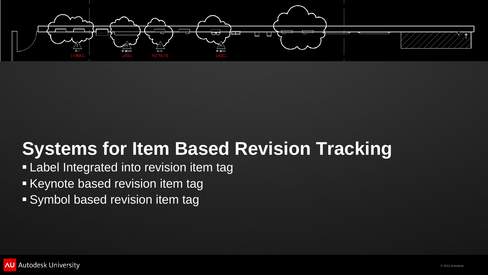



### **- Label Integrated into revision item tag**  Keynote based revision item tag Symbol based revision item tag **Systems for Item Based Revision Tracking**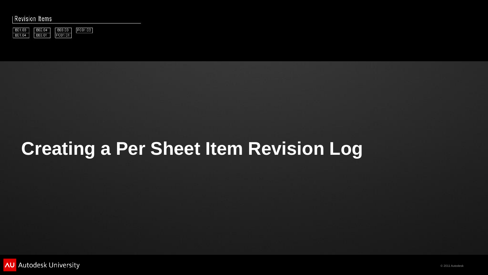#### **Revision Items**



# **Creating a Per Sheet Item Revision Log**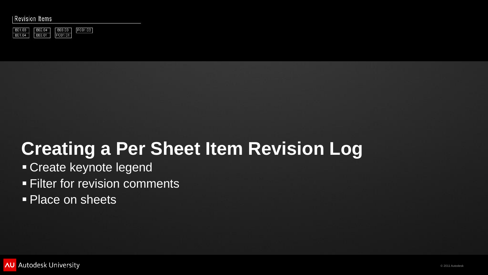#### **Revision Items**



### Create keynote legend **Filter for revision comments Place on sheets Creating a Per Sheet Item Revision Log**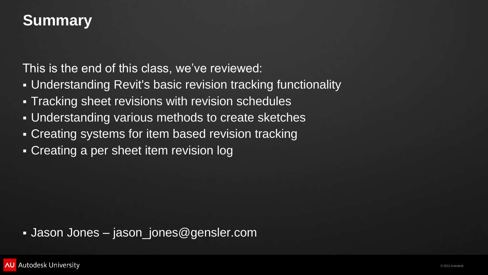

This is the end of this class, we've reviewed: Understanding Revit's basic revision tracking functionality **Tracking sheet revisions with revision schedules**  Understanding various methods to create sketches **- Creating systems for item based revision tracking** 

### **Summary**

- 
- 
- 
- 
- Creating a per sheet item revision log

### Jason Jones – jason\_jones@gensler.com

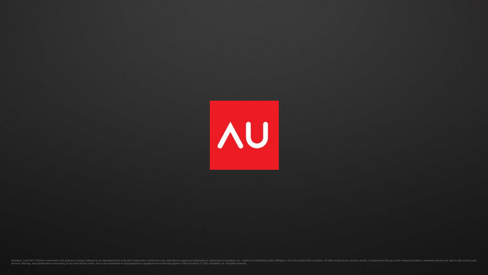rif/when mentioned in the pertinent material, followed by an alphabetical list of all other trademarks mentioned in the material] are registered trademarks or trademarks of Autodesk, Inc., and/or affiliates in the USA and/ services offerings, and specifications and pricing at any time without notice, and is not responsible for typographical or graphical errors that may appear in this document. © 2011 Autodesk, Inc. All rights reserved.